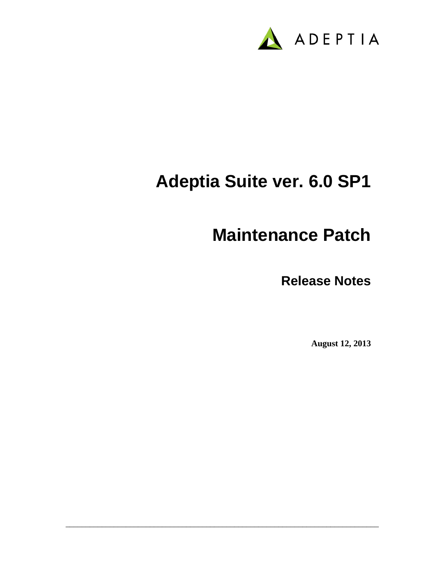

# **Adeptia Suite ver. 6.0 SP1**

\_\_\_\_\_\_\_\_\_\_\_\_\_\_\_\_\_\_\_\_\_\_\_\_\_\_\_\_\_\_\_\_\_\_\_\_\_\_\_\_\_\_\_\_\_\_\_\_\_\_\_\_\_\_\_\_\_\_\_\_\_\_\_\_\_\_\_\_\_\_\_\_\_\_\_\_\_\_

## **Maintenance Patch**

**Release Notes**

**August 12, 2013**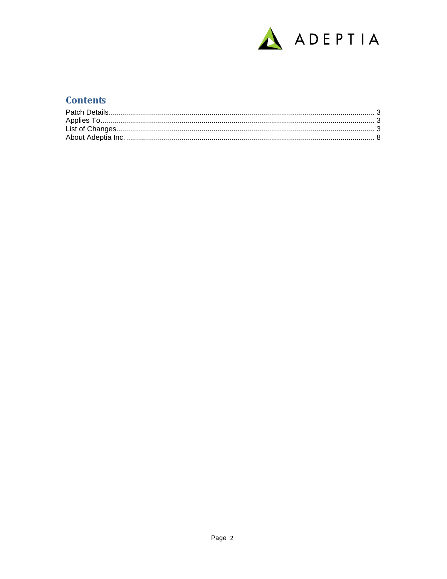

## **Contents**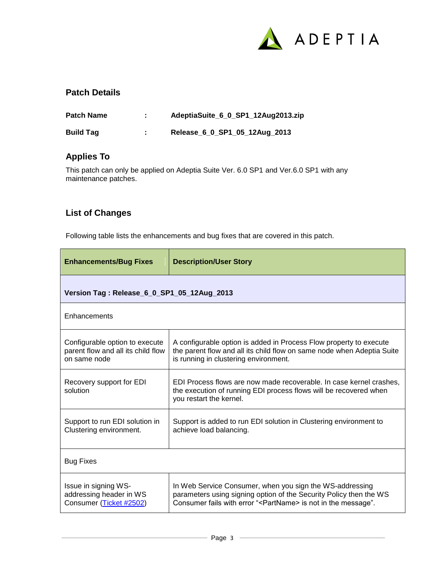

#### <span id="page-2-0"></span>**Patch Details**

| <b>Patch Name</b> | AdeptiaSuite_6_0_SP1_12Aug2013.zip |
|-------------------|------------------------------------|
| <b>Build Tag</b>  | Release_6_0_SP1_05_12Aug_2013      |

#### <span id="page-2-1"></span>**Applies To**

This patch can only be applied on Adeptia Suite Ver. 6.0 SP1 and Ver.6.0 SP1 with any maintenance patches.

#### <span id="page-2-2"></span>**List of Changes**

Following table lists the enhancements and bug fixes that are covered in this patch.

| <b>Enhancements/Bug Fixes</b>                                                        | <b>Description/User Story</b>                                                                                                                                                                               |
|--------------------------------------------------------------------------------------|-------------------------------------------------------------------------------------------------------------------------------------------------------------------------------------------------------------|
| Version Tag: Release_6_0_SP1_05_12Aug_2013                                           |                                                                                                                                                                                                             |
| Enhancements                                                                         |                                                                                                                                                                                                             |
| Configurable option to execute<br>parent flow and all its child flow<br>on same node | A configurable option is added in Process Flow property to execute<br>the parent flow and all its child flow on same node when Adeptia Suite<br>is running in clustering environment.                       |
| Recovery support for EDI<br>solution                                                 | EDI Process flows are now made recoverable. In case kernel crashes.<br>the execution of running EDI process flows will be recovered when<br>you restart the kernel.                                         |
| Support to run EDI solution in<br>Clustering environment.                            | Support is added to run EDI solution in Clustering environment to<br>achieve load balancing.                                                                                                                |
| <b>Bug Fixes</b>                                                                     |                                                                                                                                                                                                             |
| Issue in signing WS-<br>addressing header in WS<br>Consumer (Ticket #2502)           | In Web Service Consumer, when you sign the WS-addressing<br>parameters using signing option of the Security Policy then the WS<br>Consumer fails with error " <partname> is not in the message".</partname> |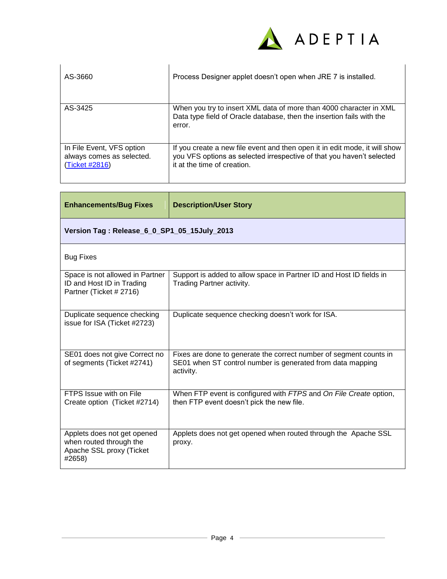

| AS-3660                                                                  | Process Designer applet doesn't open when JRE 7 is installed.                                                                                                                      |
|--------------------------------------------------------------------------|------------------------------------------------------------------------------------------------------------------------------------------------------------------------------------|
| AS-3425                                                                  | When you try to insert XML data of more than 4000 character in XML<br>Data type field of Oracle database, then the insertion fails with the<br>error.                              |
| In File Event, VFS option<br>always comes as selected.<br>(Ticket #2816) | If you create a new file event and then open it in edit mode, it will show<br>you VFS options as selected irrespective of that you haven't selected<br>it at the time of creation. |

| <b>Enhancements/Bug Fixes</b>                                                                | <b>Description/User Story</b>                                                                                                                 |
|----------------------------------------------------------------------------------------------|-----------------------------------------------------------------------------------------------------------------------------------------------|
| Version Tag: Release_6_0_SP1_05_15July_2013                                                  |                                                                                                                                               |
| <b>Bug Fixes</b>                                                                             |                                                                                                                                               |
| Space is not allowed in Partner<br>ID and Host ID in Trading<br>Partner (Ticket # 2716)      | Support is added to allow space in Partner ID and Host ID fields in<br>Trading Partner activity.                                              |
| Duplicate sequence checking<br>issue for ISA (Ticket #2723)                                  | Duplicate sequence checking doesn't work for ISA.                                                                                             |
| SE01 does not give Correct no<br>of segments (Ticket #2741)                                  | Fixes are done to generate the correct number of segment counts in<br>SE01 when ST control number is generated from data mapping<br>activity. |
| FTPS Issue with on File<br>Create option (Ticket #2714)                                      | When FTP event is configured with FTPS and On File Create option,<br>then FTP event doesn't pick the new file.                                |
| Applets does not get opened<br>when routed through the<br>Apache SSL proxy (Ticket<br>#2658) | Applets does not get opened when routed through the Apache SSL<br>proxy.                                                                      |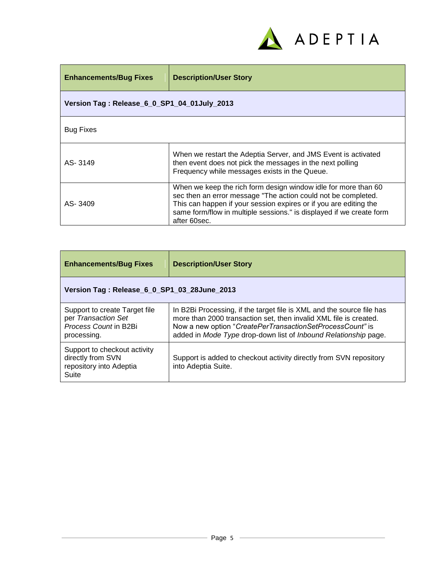

| <b>Enhancements/Bug Fixes</b>               | <b>Description/User Story</b>                                                                                                                                                                                                                                                                |
|---------------------------------------------|----------------------------------------------------------------------------------------------------------------------------------------------------------------------------------------------------------------------------------------------------------------------------------------------|
| Version Tag: Release_6_0_SP1_04_01July_2013 |                                                                                                                                                                                                                                                                                              |
| <b>Bug Fixes</b>                            |                                                                                                                                                                                                                                                                                              |
| AS-3149                                     | When we restart the Adeptia Server, and JMS Event is activated<br>then event does not pick the messages in the next polling<br>Frequency while messages exists in the Queue.                                                                                                                 |
| AS-3409                                     | When we keep the rich form design window idle for more than 60<br>sec then an error message "The action could not be completed.<br>This can happen if your session expires or if you are editing the<br>same form/flow in multiple sessions." is displayed if we create form<br>after 60sec. |

| <b>Enhancements/Bug Fixes</b>                                                                | <b>Description/User Story</b>                                                                                                                                                                                                                                              |
|----------------------------------------------------------------------------------------------|----------------------------------------------------------------------------------------------------------------------------------------------------------------------------------------------------------------------------------------------------------------------------|
| Version Tag: Release_6_0_SP1_03_28June_2013                                                  |                                                                                                                                                                                                                                                                            |
| Support to create Target file<br>per Transaction Set<br>Process Count in B2Bi<br>processing. | In B2Bi Processing, if the target file is XML and the source file has<br>more than 2000 transaction set, then invalid XML file is created.<br>Now a new option "CreatePerTransactionSetProcessCount" is<br>added in Mode Type drop-down list of Inbound Relationship page. |
| Support to checkout activity<br>directly from SVN<br>repository into Adeptia<br>Suite        | Support is added to checkout activity directly from SVN repository<br>into Adeptia Suite.                                                                                                                                                                                  |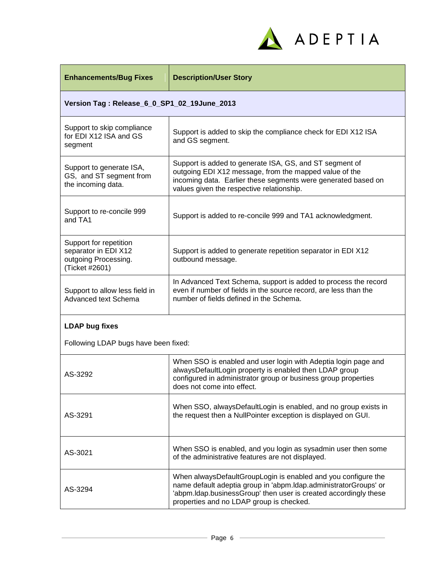

| <b>Enhancements/Bug Fixes</b>                                                            | <b>Description/User Story</b>                                                                                                                                                                                                                     |
|------------------------------------------------------------------------------------------|---------------------------------------------------------------------------------------------------------------------------------------------------------------------------------------------------------------------------------------------------|
| Version Tag: Release_6_0_SP1_02_19June_2013                                              |                                                                                                                                                                                                                                                   |
| Support to skip compliance<br>for EDI X12 ISA and GS<br>segment                          | Support is added to skip the compliance check for EDI X12 ISA<br>and GS segment.                                                                                                                                                                  |
| Support to generate ISA,<br>GS, and ST segment from<br>the incoming data.                | Support is added to generate ISA, GS, and ST segment of<br>outgoing EDI X12 message, from the mapped value of the<br>incoming data. Earlier these segments were generated based on<br>values given the respective relationship.                   |
| Support to re-concile 999<br>and TA1                                                     | Support is added to re-concile 999 and TA1 acknowledgment.                                                                                                                                                                                        |
| Support for repetition<br>separator in EDI X12<br>outgoing Processing.<br>(Ticket #2601) | Support is added to generate repetition separator in EDI X12<br>outbound message.                                                                                                                                                                 |
| Support to allow less field in<br>Advanced text Schema                                   | In Advanced Text Schema, support is added to process the record<br>even if number of fields in the source record, are less than the<br>number of fields defined in the Schema.                                                                    |
| <b>LDAP bug fixes</b>                                                                    |                                                                                                                                                                                                                                                   |
| Following LDAP bugs have been fixed:                                                     |                                                                                                                                                                                                                                                   |
| AS-3292                                                                                  | When SSO is enabled and user login with Adeptia login page and<br>alwaysDefaultLogin property is enabled then LDAP group<br>configured in administrator group or business group properties<br>does not come into effect.                          |
| AS-3291                                                                                  | When SSO, alwaysDefaultLogin is enabled, and no group exists in<br>the request then a NullPointer exception is displayed on GUI.                                                                                                                  |
| AS-3021                                                                                  | When SSO is enabled, and you login as sysadmin user then some<br>of the administrative features are not displayed.                                                                                                                                |
| AS-3294                                                                                  | When alwaysDefaultGroupLogin is enabled and you configure the<br>name default adeptia group in 'abpm.ldap.administratorGroups' or<br>'abpm.Idap.businessGroup' then user is created accordingly these<br>properties and no LDAP group is checked. |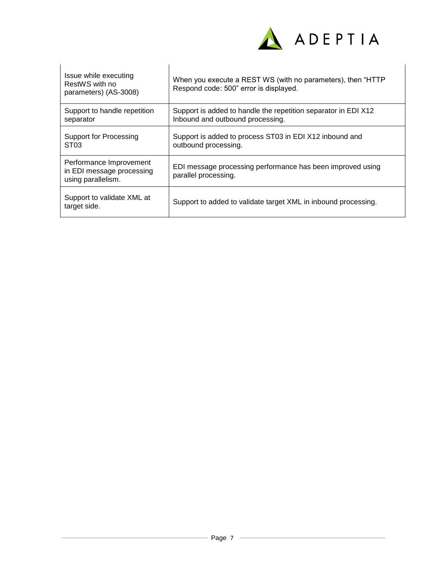

| Issue while executing<br>RestWS with no<br>parameters) (AS-3008)           | When you execute a REST WS (with no parameters), then "HTTP<br>Respond code: 500" error is displayed. |
|----------------------------------------------------------------------------|-------------------------------------------------------------------------------------------------------|
| Support to handle repetition<br>separator                                  | Support is added to handle the repetition separator in EDI X12<br>Inbound and outbound processing.    |
| <b>Support for Processing</b><br>ST <sub>03</sub>                          | Support is added to process ST03 in EDI X12 inbound and<br>outbound processing.                       |
| Performance Improvement<br>in EDI message processing<br>using parallelism. | EDI message processing performance has been improved using<br>parallel processing.                    |
| Support to validate XML at<br>target side.                                 | Support to added to validate target XML in inbound processing.                                        |